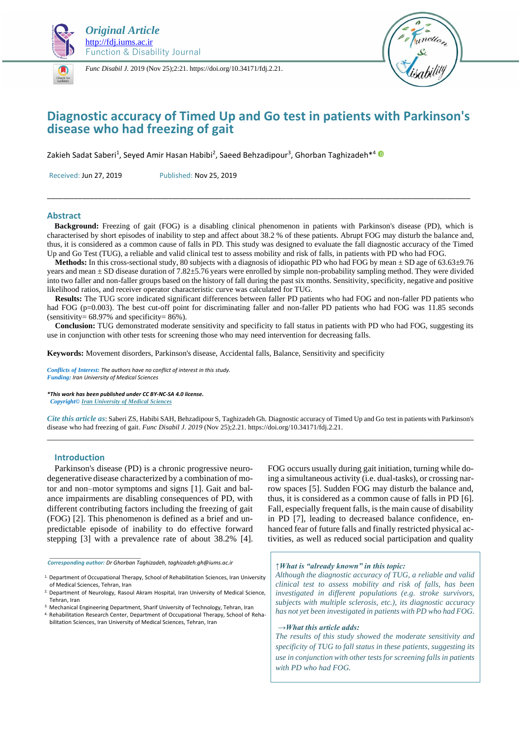



*Func Disabil J.* 2019 (Nov 25);2:21. https://doi.org/10.34171/fdj.2.21.



# **Diagnostic accuracy of Timed Up and Go test in patients with Parkinson's disease who had freezing of gait**

Zakieh Sadat Saberi<sup>1</sup>, Seyed Amir Hasan Habibi<sup>2</sup>, Saeed Behzadipour<sup>3</sup>, Ghorban Taghizadeh\*<sup>4</sup>  $\Box$ 

Received: Jun 27, 2019 Published: Nov 25, 2019

### **Abstract**

 **Background:** Freezing of gait (FOG) is a disabling clinical phenomenon in patients with Parkinson's disease (PD), which is characterised by short episodes of inability to step and affect about 38.2 % of these patients. Abrupt FOG may disturb the balance and, thus, it is considered as a common cause of falls in PD. This study was designed to evaluate the fall diagnostic accuracy of the Timed Up and Go Test (TUG), a reliable and valid clinical test to assess mobility and risk of falls, in patients with PD who had FOG.

\_\_\_\_\_\_\_\_\_\_\_\_\_\_\_\_\_\_\_\_\_\_\_\_\_\_\_\_\_\_\_\_\_\_\_\_\_\_\_\_\_\_\_\_\_\_\_\_\_\_\_\_\_\_\_\_\_\_\_\_\_\_\_\_\_\_\_\_\_\_\_\_\_\_\_\_\_\_\_\_\_\_\_\_\_\_\_\_\_\_\_\_\_\_\_\_\_\_\_\_\_\_\_\_\_\_\_\_

 **Methods:** In this cross-sectional study, 80 subjects with a diagnosis of idiopathic PD who had FOG by mean ± SD age of 63.63±9.76 years and mean ± SD disease duration of 7.82±5.76 years were enrolled by simple non-probability sampling method. They were divided into two faller and non-faller groups based on the history of fall during the past six months. Sensitivity, specificity, negative and positive likelihood ratios, and receiver operator characteristic curve was calculated for TUG.

 **Results:** The TUG score indicated significant differences between faller PD patients who had FOG and non-faller PD patients who had FOG (p=0.003). The best cut-off point for discriminating faller and non-faller PD patients who had FOG was 11.85 seconds (sensitivity=  $68.97\%$  and specificity=  $86\%$ ).

 **Conclusion:** TUG demonstrated moderate sensitivity and specificity to fall status in patients with PD who had FOG, suggesting its use in conjunction with other tests for screening those who may need intervention for decreasing falls.

**Keywords:** Movement disorders, Parkinson's disease, Accidental falls, Balance, Sensitivity and specificity

*Conflicts of Interest: The authors have no conflict of interest in this study. Funding: Iran University of Medical Sciences*

*\*This work has been published under CC BY-NC-SA 4.0 license.*

 *Copyright[© Iran University of Medical Sciences](http://iums.ac.ir/en?sid=1)*

*Cite this article as*: Saberi ZS, Habibi SAH, Behzadipour S, Taghizadeh Gh. Diagnostic accuracy of Timed Up and Go test in patients with Parkinson's disease who had freezing of gait. *Func Disabil J. 2019* (Nov 25);2.21. https://doi.org/10.34171/fdj.2.21. \_\_\_\_\_\_\_\_\_\_\_\_\_\_\_\_\_\_\_\_\_\_\_\_\_\_\_\_\_\_\_\_\_\_\_\_\_\_\_\_\_\_\_\_\_\_\_\_\_\_\_\_\_\_\_\_\_\_\_\_\_\_\_\_\_\_\_\_\_\_\_\_\_\_\_\_\_\_\_\_\_\_\_\_\_\_\_\_\_\_\_\_\_\_\_\_\_

# **Introduction**

*\_\_\_\_\_\_\_\_\_\_\_\_\_\_\_\_\_\_\_\_\_\_\_\_\_\_\_\_\_\_*

Parkinson's disease (PD) is a chronic progressive neurodegenerative disease characterized by a combination of motor and non–motor symptoms and signs [1]. Gait and balance impairments are disabling consequences of PD, with different contributing factors including the freezing of gait (FOG) [2]. This phenomenon is defined as a brief and unpredictable episode of inability to do effective forward stepping [3] with a prevalence rate of about 38.2% [4].

*Corresponding author: Dr Ghorban Taghizadeh, taghizadeh.gh@iums.ac.ir*

FOG occurs usually during gait initiation, turning while doing a simultaneous activity (i.e. dual-tasks), or crossing narrow spaces [5]. Sudden FOG may disturb the balance and, thus, it is considered as a common cause of falls in PD [6]. Fall, especially frequent falls, is the main cause of disability in PD [7], leading to decreased balance confidence, enhanced fear of future falls and finally restricted physical activities, as well as reduced social participation and quality

### *↑What is "already known" in this topic:*

*Although the diagnostic accuracy of TUG, a reliable and valid clinical test to assess mobility and risk of falls, has been investigated in different populations (e.g. stroke survivors, subjects with multiple sclerosis, etc.), its diagnostic accuracy has not yet been investigated in patients with PD who had FOG.* 

#### *→What this article adds:*

*The results of this study showed the moderate sensitivity and specificity of TUG to fall status in these patients, suggesting its use in conjunction with other tests for screening falls in patients with PD who had FOG.* 

<sup>&</sup>lt;sup>1.</sup> Department of Occupational Therapy, School of Rehabilitation Sciences, Iran University of Medical Sciences, Tehran, Iran

<sup>2.</sup> Department of Neurology, Rasoul Akram Hospital, Iran University of Medical Science, Tehran, Iran

<sup>3.</sup> Mechanical Engineering Department, Sharif University of Technology, Tehran, Iran

<sup>4.</sup> Rehabilitation Research Center, Department of Occupational Therapy, School of Rehabilitation Sciences, Iran University of Medical Sciences, Tehran, Iran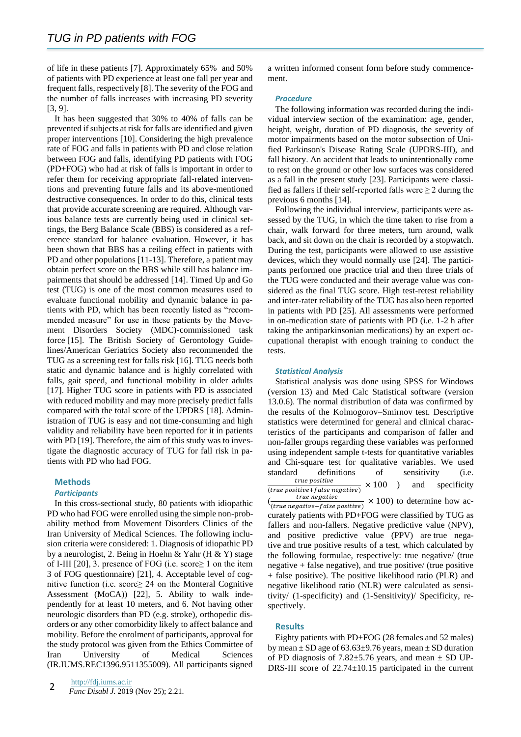of life in these patients [7]. Approximately 65% and 50% of patients with PD experience at least one fall per year and frequent falls, respectively [8]. The severity of the FOG and the number of falls increases with increasing PD severity [3, 9].

It has been suggested that 30% to 40% of falls can be prevented if subjects at risk for falls are identified and given proper interventions [10]. Considering the high prevalence rate of FOG and falls in patients with PD and close relation between FOG and falls, identifying PD patients with FOG (PD+FOG) who had at risk of falls is important in order to refer them for receiving appropriate fall-related interventions and preventing future falls and its above-mentioned destructive consequences. In order to do this, clinical tests that provide accurate screening are required. Although various balance tests are currently being used in clinical settings, the Berg Balance Scale (BBS) is considered as a reference standard for balance evaluation. However, it has been shown that BBS has a ceiling effect in patients with PD and other populations [11-13]. Therefore, a patient may obtain perfect score on the BBS while still has balance impairments that should be addressed [14]. Timed Up and Go test (TUG) is one of the most common measures used to evaluate functional mobility and dynamic balance in patients with PD, which has been recently listed as "recommended measure" for use in these patients by the Movement Disorders Society (MDC)-commissioned task force [15]. The British Society of Gerontology Guidelines/American Geriatrics Society also recommended the TUG as a screening test for falls risk [16]. TUG needs both static and dynamic balance and is highly correlated with falls, gait speed, and functional mobility in older adults [17]. Higher TUG score in patients with PD is associated with reduced mobility and may more precisely predict falls compared with the total score of the UPDRS [18]. Administration of TUG is easy and not time-consuming and high validity and reliability have been reported for it in patients with PD [19]. Therefore, the aim of this study was to investigate the diagnostic accuracy of TUG for fall risk in patients with PD who had FOG.

# **Methods**

# *Participants*

In this cross-sectional study, 80 patients with idiopathic PD who had FOG were enrolled using the simple non-probability method from Movement Disorders Clinics of the Iran University of Medical Sciences. The following inclusion criteria were considered: 1. Diagnosis of idiopathic PD by a neurologist, 2. Being in Hoehn & Yahr (H & Y) stage of I-III [20], 3. presence of FOG (i.e. score $\geq 1$  on the item 3 of FOG questionnaire) [21], 4. Acceptable level of cognitive function (i.e. score≥ 24 on the Monteral Cognitive Assessment (MoCA)) [22], 5. Ability to walk independently for at least 10 meters, and 6. Not having other neurologic disorders than PD (e.g. stroke), orthopedic disorders or any other comorbidity likely to affect balance and mobility. Before the enrolment of participants, approval for the study protocol was given from the Ethics Committee of Iran University of Medical Sciences (IR.IUMS.REC1396.9511355009). All participants signed

a written informed consent form before study commencement.

#### *Procedure*

The following information was recorded during the individual interview section of the examination: age, gender, height, weight, duration of PD diagnosis, the severity of motor impairments based on the motor subsection of Unified Parkinson's Disease Rating Scale (UPDRS-III), and fall history. An accident that leads to unintentionally come to rest on the ground or other low surfaces was considered as a fall in the present study [23]. Participants were classified as fallers if their self-reported falls were  $\geq 2$  during the previous 6 months [14].

Following the individual interview, participants were assessed by the TUG, in which the time taken to rise from a chair, walk forward for three meters, turn around, walk back, and sit down on the chair is recorded by a stopwatch. During the test, participants were allowed to use assistive devices, which they would normally use [24]. The participants performed one practice trial and then three trials of the TUG were conducted and their average value was considered as the final TUG score. High test-retest reliability and inter-rater reliability of the TUG has also been reported in patients with PD [25]. All assessments were performed in on-medication state of patients with PD (i.e. 1-2 h after taking the antiparkinsonian medications) by an expert occupational therapist with enough training to conduct the tests.

#### *Statistical Analysis*

Statistical analysis was done using SPSS for Windows (version 13) and Med Calc Statistical software (version 13.0.6). The normal distribution of data was confirmed by the results of the Kolmogorov–Smirnov test. Descriptive statistics were determined for general and clinical characteristics of the participants and comparison of faller and non-faller groups regarding these variables was performed using independent sample t-tests for quantitative variables and Chi-square test for qualitative variables. We used standard definitions of sensitivity (i.e. true positive  $(true positive + false negative)$  $\times$  100 ) and specificity (  $\frac{U}{(true \ negative + false \ positive)} \times 100$ ) to determine how accurately patients with PD+FOG were classified by TUG as

fallers and non-fallers. Negative predictive value (NPV), and positive predictive value (PPV) are true negative and true positive results of a test, which calculated by the following formulae, respectively: true negative/ (true negative  $+$  false negative), and true positive/ (true positive + false positive). The positive likelihood ratio (PLR) and negative likelihood ratio (NLR) were calculated as sensitivity/ (1-specificity) and (1-Sensitivity)/ Specificity, respectively.

#### **Results**

Eighty patients with PD+FOG (28 females and 52 males) by mean  $\pm$  SD age of 63.63 $\pm$ 9.76 years, mean  $\pm$  SD duration of PD diagnosis of 7.82 $\pm$ 5.76 years, and mean  $\pm$  SD UP-DRS-III score of  $22.74 \pm 10.15$  participated in the current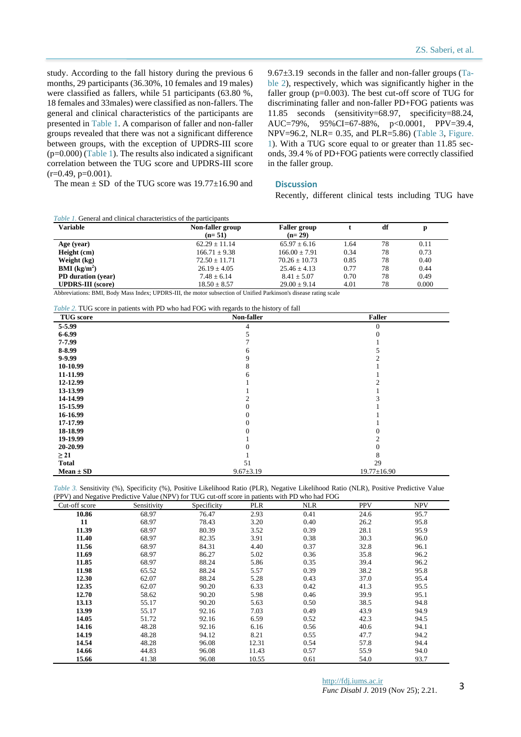study. According to the fall history during the previous 6 months, 29 participants (36.30%, 10 females and 19 males) were classified as fallers, while 51 participants (63.80 %, 18 females and 33males) were classified as non-fallers. The general and clinical characteristics of the participants are presented in Table 1. A comparison of faller and non-faller groups revealed that there was not a significant difference between groups, with the exception of UPDRS-III score  $(p=0.000)$  (Table 1). The results also indicated a significant correlation between the TUG score and UPDRS-III score  $(r=0.49, p=0.001)$ .

 $9.67\pm3.19$  seconds in the faller and non-faller groups (Table 2), respectively, which was significantly higher in the faller group  $(p=0.003)$ . The best cut-off score of TUG for discriminating faller and non-faller PD+FOG patients was 11.85 seconds (sensitivity=68.97, specificity=88.24, AUC=79%, 95%CI=67-88%, p<0.0001, PPV=39.4, NPV=96.2, NLR= 0.35, and PLR=5.86) (Table 3, Figure. 1). With a TUG score equal to or greater than 11.85 seconds, 39.4 % of PD+FOG patients were correctly classified in the faller group.

# **Discussion**

Recently, different clinical tests including TUG have

| The mean $\pm$ SD of the TUG score was 19.77 $\pm$ 16.90 and |  |  |
|--------------------------------------------------------------|--|--|
|                                                              |  |  |

| <i>Table 1.</i> General and clinical characteristics of the participants |                              |                                 |      |    |       |
|--------------------------------------------------------------------------|------------------------------|---------------------------------|------|----|-------|
| <b>Variable</b>                                                          | Non-faller group<br>$(n=51)$ | <b>Faller</b> group<br>$(n=29)$ |      | df | D     |
| Age (year)                                                               | $62.29 + 11.14$              | $65.97 + 6.16$                  | 1.64 | 78 | 0.11  |
| Height (cm)                                                              | $166.71 + 9.38$              | $166.00 + 7.91$                 | 0.34 | 78 | 0.73  |
| Weight (kg)                                                              | $72.50 \pm 11.71$            | $70.26 \pm 10.73$               | 0.85 | 78 | 0.40  |
| <b>BMI</b> ( $kg/m2$ )                                                   | $26.19 + 4.05$               | $25.46 \pm 4.13$                | 0.77 | 78 | 0.44  |
| PD duration (year)                                                       | $7.48 \pm 6.14$              | $8.41 \pm 5.07$                 | 0.70 | 78 | 0.49  |
| <b>UPDRS-III</b> (score)                                                 | $18.50 \pm 8.57$             | $29.00 \pm 9.14$                | 4.01 | 78 | 0.000 |

Abbreviations: BMI, Body Mass Index; UPDRS-III, the motor subsection of Unified Parkinson's disease rating scale

*Table 2.* TUG score in patients with PD who had FOG with regards to the history of fall

| <b>TUG</b> score | $\frac{1}{2}$ and $\frac{1}{2}$ by $\frac{1}{2}$ by $\frac{1}{2}$ and $\frac{1}{2}$ and $\frac{1}{2}$ by $\frac{1}{2}$ and $\frac{1}{2}$ and $\frac{1}{2}$ and $\frac{1}{2}$ and $\frac{1}{2}$ and $\frac{1}{2}$ and $\frac{1}{2}$ and $\frac{1}{2}$ and $\frac{1}{2}$ and $\frac{1}{2}$ and<br>Non-faller | <b>Faller</b>     |
|------------------|------------------------------------------------------------------------------------------------------------------------------------------------------------------------------------------------------------------------------------------------------------------------------------------------------------|-------------------|
| 5-5.99           | 4                                                                                                                                                                                                                                                                                                          | $\Omega$          |
| $6 - 6.99$       |                                                                                                                                                                                                                                                                                                            |                   |
| 7-7.99           |                                                                                                                                                                                                                                                                                                            |                   |
| 8-8.99           |                                                                                                                                                                                                                                                                                                            |                   |
| 9-9.99           |                                                                                                                                                                                                                                                                                                            |                   |
| 10-10.99         |                                                                                                                                                                                                                                                                                                            |                   |
| 11-11.99         |                                                                                                                                                                                                                                                                                                            |                   |
| 12-12.99         |                                                                                                                                                                                                                                                                                                            |                   |
| 13-13.99         |                                                                                                                                                                                                                                                                                                            |                   |
| 14-14.99         |                                                                                                                                                                                                                                                                                                            |                   |
| 15-15.99         |                                                                                                                                                                                                                                                                                                            |                   |
| 16-16.99         |                                                                                                                                                                                                                                                                                                            |                   |
| 17-17.99         |                                                                                                                                                                                                                                                                                                            |                   |
| 18-18.99         |                                                                                                                                                                                                                                                                                                            |                   |
| 19-19.99         |                                                                                                                                                                                                                                                                                                            |                   |
| 20-20.99         |                                                                                                                                                                                                                                                                                                            |                   |
| $\geq$ 21        |                                                                                                                                                                                                                                                                                                            |                   |
| <b>Total</b>     | 51                                                                                                                                                                                                                                                                                                         | 29                |
| $Mean \pm SD$    | $9.67 \pm 3.19$                                                                                                                                                                                                                                                                                            | $19.77 \pm 16.90$ |

*Table 3.* Sensitivity (%), Specificity (%), Positive Likelihood Ratio (PLR), Negative Likelihood Ratio (NLR), Positive Predictive Value (PPV) and Negative Predictive Value (NPV) for TUG cut-off score in patients with PD who had FOG

| Cut-off score | Sensitivity | Specificity | <b>PLR</b> | <b>NLR</b> | <b>PPV</b> | <b>NPV</b> |
|---------------|-------------|-------------|------------|------------|------------|------------|
| 10.86         | 68.97       | 76.47       | 2.93       | 0.41       | 24.6       | 95.7       |
| 11            | 68.97       | 78.43       | 3.20       | 0.40       | 26.2       | 95.8       |
| 11.39         | 68.97       | 80.39       | 3.52       | 0.39       | 28.1       | 95.9       |
| 11.40         | 68.97       | 82.35       | 3.91       | 0.38       | 30.3       | 96.0       |
| 11.56         | 68.97       | 84.31       | 4.40       | 0.37       | 32.8       | 96.1       |
| 11.69         | 68.97       | 86.27       | 5.02       | 0.36       | 35.8       | 96.2       |
| 11.85         | 68.97       | 88.24       | 5.86       | 0.35       | 39.4       | 96.2       |
| 11.98         | 65.52       | 88.24       | 5.57       | 0.39       | 38.2       | 95.8       |
| 12.30         | 62.07       | 88.24       | 5.28       | 0.43       | 37.0       | 95.4       |
| 12.35         | 62.07       | 90.20       | 6.33       | 0.42       | 41.3       | 95.5       |
| 12.70         | 58.62       | 90.20       | 5.98       | 0.46       | 39.9       | 95.1       |
| 13.13         | 55.17       | 90.20       | 5.63       | 0.50       | 38.5       | 94.8       |
| 13.99         | 55.17       | 92.16       | 7.03       | 0.49       | 43.9       | 94.9       |
| 14.05         | 51.72       | 92.16       | 6.59       | 0.52       | 42.3       | 94.5       |
| 14.16         | 48.28       | 92.16       | 6.16       | 0.56       | 40.6       | 94.1       |
| 14.19         | 48.28       | 94.12       | 8.21       | 0.55       | 47.7       | 94.2       |
| 14.54         | 48.28       | 96.08       | 12.31      | 0.54       | 57.8       | 94.4       |
| 14.66         | 44.83       | 96.08       | 11.43      | 0.57       | 55.9       | 94.0       |
| 15.66         | 41.38       | 96.08       | 10.55      | 0.61       | 54.0       | 93.7       |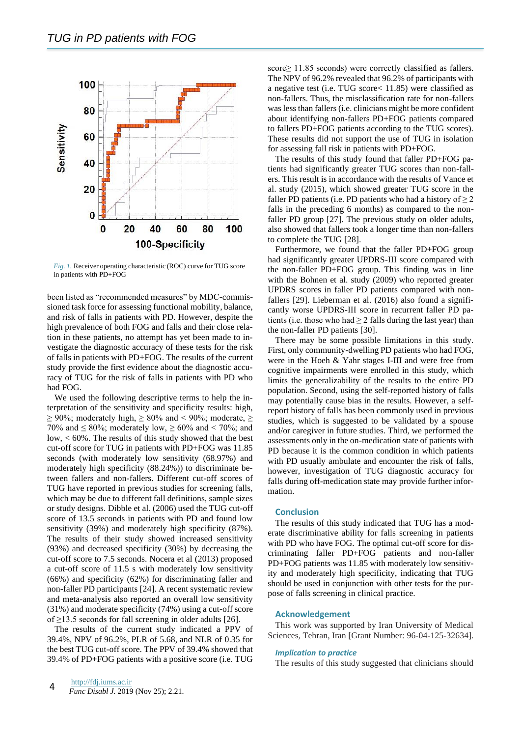

*Fig. 1.* Receiver operating characteristic (ROC) curve for TUG score in patients with PD+FOG

been listed as "recommended measures" by MDC-commissioned task force for assessing functional mobility, balance, and risk of falls in patients with PD. However, despite the high prevalence of both FOG and falls and their close relation in these patients, no attempt has yet been made to investigate the diagnostic accuracy of these tests for the risk of falls in patients with PD+FOG. The results of the current study provide the first evidence about the diagnostic accuracy of TUG for the risk of falls in patients with PD who had FOG.

We used the following descriptive terms to help the interpretation of the sensitivity and specificity results: high,  $\geq$  90%; moderately high,  $\geq$  80% and < 90%; moderate,  $\geq$ 70% and  $\leq 80\%$ ; moderately low,  $\geq 60\%$  and  $\leq 70\%$ ; and low, < 60%. The results of this study showed that the best cut-off score for TUG in patients with PD+FOG was 11.85 seconds (with moderately low sensitivity (68.97%) and moderately high specificity (88.24%)) to discriminate between fallers and non-fallers. Different cut-off scores of TUG have reported in previous studies for screening falls, which may be due to different fall definitions, sample sizes or study designs. Dibble et al. (2006) used the TUG cut-off score of 13.5 seconds in patients with PD and found low sensitivity (39%) and moderately high specificity (87%). The results of their study showed increased sensitivity (93%) and decreased specificity (30%) by decreasing the cut-off score to 7.5 seconds. Nocera et al (2013) proposed a cut-off score of 11.5 s with moderately low sensitivity (66%) and specificity (62%) for discriminating faller and non-faller PD participants [24]. A recent systematic review and meta-analysis also reported an overall low sensitivity (31%) and moderate specificity (74%) using a cut-off score of ≥13.5 seconds for fall screening in older adults [26].

The results of the current study indicated a PPV of 39.4%, NPV of 96.2%, PLR of 5.68, and NLR of 0.35 for the best TUG cut-off score. The PPV of 39.4% showed that 39.4% of PD+FOG patients with a positive score (i.e. TUG score≥ 11.85 seconds) were correctly classified as fallers. The NPV of 96.2% revealed that 96.2% of participants with a negative test (i.e. TUG score< 11.85) were classified as non-fallers. Thus, the misclassification rate for non-fallers was less than fallers (i.e. clinicians might be more confident about identifying non-fallers PD+FOG patients compared to fallers PD+FOG patients according to the TUG scores). These results did not support the use of TUG in isolation for assessing fall risk in patients with PD+FOG.

The results of this study found that faller PD+FOG patients had significantly greater TUG scores than non-fallers. This result is in accordance with the results of Vance et al. study (2015), which showed greater TUG score in the faller PD patients (i.e. PD patients who had a history of  $\geq 2$ falls in the preceding 6 months) as compared to the nonfaller PD group [27]. The previous study on older adults, also showed that fallers took a longer time than non-fallers to complete the TUG [28].

Furthermore, we found that the faller PD+FOG group had significantly greater UPDRS-III score compared with the non-faller PD+FOG group. This finding was in line with the Bohnen et al. study (2009) who reported greater UPDRS scores in faller PD patients compared with nonfallers [29]. Lieberman et al. (2016) also found a significantly worse UPDRS-III score in recurrent faller PD patients (i.e. those who had  $\geq 2$  falls during the last year) than the non-faller PD patients [30].

There may be some possible limitations in this study. First, only community-dwelling PD patients who had FOG, were in the Hoeh & Yahr stages I-III and were free from cognitive impairments were enrolled in this study, which limits the generalizability of the results to the entire PD population. Second, using the self-reported history of falls may potentially cause bias in the results. However, a selfreport history of falls has been commonly used in previous studies, which is suggested to be validated by a spouse and/or caregiver in future studies. Third, we performed the assessments only in the on-medication state of patients with PD because it is the common condition in which patients with PD usually ambulate and encounter the risk of falls, however, investigation of TUG diagnostic accuracy for falls during off-medication state may provide further information.

# **Conclusion**

The results of this study indicated that TUG has a moderate discriminative ability for falls screening in patients with PD who have FOG. The optimal cut-off score for discriminating faller PD+FOG patients and non-faller PD+FOG patients was 11.85 with moderately low sensitivity and moderately high specificity, indicating that TUG should be used in conjunction with other tests for the purpose of falls screening in clinical practice.

### **Acknowledgement**

This work was supported by Iran University of Medical Sciences, Tehran, Iran [Grant Number: 96-04-125-32634].

#### *Implication to practice*

The results of this study suggested that clinicians should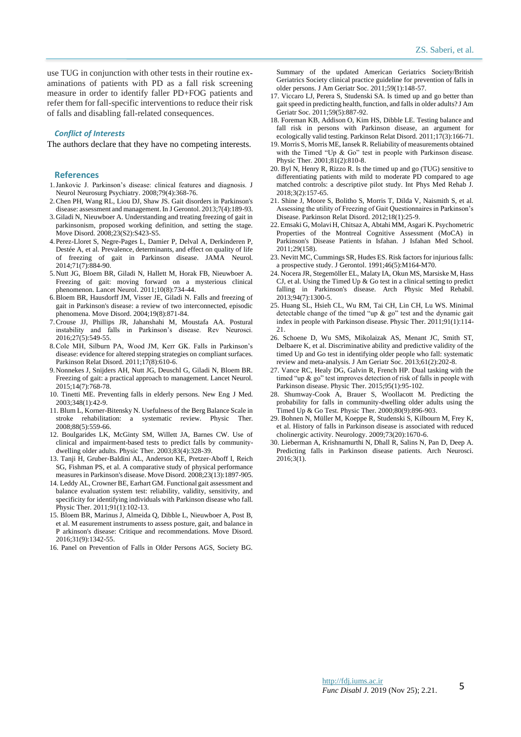use TUG in conjunction with other tests in their routine examinations of patients with PD as a fall risk screening measure in order to identify faller PD+FOG patients and refer them for fall-specific interventions to reduce their risk of falls and disabling fall-related consequences.

#### *Conflict of Interests*

The authors declare that they have no competing interests.

#### **References**

- 1.Jankovic J. Parkinson's disease: clinical features and diagnosis. J Neurol Neurosurg Psychiatry. 2008;79(4):368-76.
- 2.Chen PH, Wang RL, Liou DJ, Shaw JS. Gait disorders in Parkinson's disease: assessment and management. In J Gerontol. 2013;7(4):189-93.
- 3.Giladi N, Nieuwboer A. Understanding and treating freezing of gait in parkinsonism, proposed working definition, and setting the stage. Move Disord. 2008;23(S2):S423-S5.
- 4.Perez-Lloret S, Negre-Pages L, Damier P, Delval A, Derkinderen P, Destée A, et al. Prevalence, determinants, and effect on quality of life of freezing of gait in Parkinson disease. JAMA Neurol. 2014;71(7):884-90.
- 5.Nutt JG, Bloem BR, Giladi N, Hallett M, Horak FB, Nieuwboer A. Freezing of gait: moving forward on a mysterious clinical phenomenon. Lancet Neurol. 2011;10(8):734-44.
- 6.Bloem BR, Hausdorff JM, Visser JE, Giladi N. Falls and freezing of gait in Parkinson's disease: a review of two interconnected, episodic phenomena. Move Disord. 2004;19(8):871-84.
- 7.Crouse JJ, Phillips JR, Jahanshahi M, Moustafa AA. Postural instability and falls in Parkinson's disease. Rev Neurosci. 2016;27(5):549-55.
- 8.Cole MH, Silburn PA, Wood JM, Kerr GK. Falls in Parkinson's disease: evidence for altered stepping strategies on compliant surfaces. Parkinson Relat Disord. 2011;17(8):610-6.
- 9.Nonnekes J, Snijders AH, Nutt JG, Deuschl G, Giladi N, Bloem BR. Freezing of gait: a practical approach to management. Lancet Neurol.  $2015:14(7):768-78$
- 10. Tinetti ME. Preventing falls in elderly persons. New Eng J Med. 2003;348(1):42-9.
- 11. Blum L, Korner-Bitensky N. Usefulness of the Berg Balance Scale in stroke rehabilitation: a systematic review. Physic Ther. 2008;88(5):559-66.
- 12. Boulgarides LK, McGinty SM, Willett JA, Barnes CW. Use of clinical and impairment-based tests to predict falls by communitydwelling older adults. Physic Ther. 2003;83(4):328-39.
- 13. Tanji H, Gruber‐Baldini AL, Anderson KE, Pretzer‐Aboff I, Reich SG, Fishman PS, et al. A comparative study of physical performance measures in Parkinson's disease. Move Disord. 2008;23(13):1897-905.
- 14. Leddy AL, Crowner BE, Earhart GM. Functional gait assessment and balance evaluation system test: reliability, validity, sensitivity, and specificity for identifying individuals with Parkinson disease who fall. Physic Ther. 2011;91(1):102-13.
- 15. Bloem BR, Marinus J, Almeida Q, Dibble L, Nieuwboer A, Post B, et al. M easurement instruments to assess posture, gait, and balance in P arkinson's disease: Critique and recommendations. Move Disord. 2016;31(9):1342-55.
- 16. Panel on Prevention of Falls in Older Persons AGS, Society BG.

Summary of the updated American Geriatrics Society/British Geriatrics Society clinical practice guideline for prevention of falls in older persons. J Am Geriatr Soc. 2011;59(1):148-57.

- 17. Viccaro LJ, Perera S, Studenski SA. Is timed up and go better than gait speed in predicting health, function, and falls in older adults? J Am Geriatr Soc. 2011;59(5):887-92.
- 18. Foreman KB, Addison O, Kim HS, Dibble LE. Testing balance and fall risk in persons with Parkinson disease, an argument for ecologically valid testing. Parkinson Relat Disord. 2011;17(3):166-71.
- 19. Morris S, Morris ME, Iansek R. Reliability of measurements obtained with the Timed "Up & Go" test in people with Parkinson disease. Physic Ther. 2001:81(2):810-8.
- 20. Byl N, Henry R, Rizzo R. Is the timed up and go (TUG) sensitive to differentiating patients with mild to moderate PD compared to age matched controls: a descriptive pilot study. Int Phys Med Rehab J.  $2018:3(2):157-65$ .
- 21. Shine J, Moore S, Bolitho S, Morris T, Dilda V, Naismith S, et al. Assessing the utility of Freezing of Gait Questionnaires in Parkinson's Disease. Parkinson Relat Disord. 2012;18(1):25-9.
- 22. Emsaki G, Molavi H, Chitsaz A, Abtahi MM, Asgari K. Psychometric Properties of the Montreal Cognitive Assessment (MoCA) in Parkinson's Disease Patients in Isfahan. J Isfahan Med School. 2011;29(158).
- 23. Nevitt MC, Cummings SR, Hudes ES. Risk factors for injurious falls: a prospective study. J Gerontol. 1991;46(5):M164-M70.
- 24. Nocera JR, Stegemöller EL, Malaty IA, Okun MS, Marsiske M, Hass CJ, et al. Using the Timed Up & Go test in a clinical setting to predict falling in Parkinson's disease. Arch Physic Med Rehabil. 2013;94(7):1300-5.
- 25. Huang SL, Hsieh CL, Wu RM, Tai CH, Lin CH, Lu WS. Minimal detectable change of the timed "up & go" test and the dynamic gait index in people with Parkinson disease. Physic Ther. 2011;91(1):114- 21.
- 26. Schoene D, Wu SMS, Mikolaizak AS, Menant JC, Smith ST, Delbaere K, et al. Discriminative ability and predictive validity of the timed Up and Go test in identifying older people who fall: systematic review and meta‐analysis. J Am Geriatr Soc. 2013;61(2):202-8.
- 27. Vance RC, Healy DG, Galvin R, French HP. Dual tasking with the timed "up & go" test improves detection of risk of falls in people with Parkinson disease. Physic Ther. 2015;95(1):95-102.
- 28. Shumway-Cook A, Brauer S, Woollacott M. Predicting the probability for falls in community-dwelling older adults using the Timed Up & Go Test. Physic Ther. 2000;80(9):896-903.
- 29. Bohnen N, Müller M, Koeppe R, Studenski S, Kilbourn M, Frey K, et al. History of falls in Parkinson disease is associated with reduced cholinergic activity. Neurology. 2009;73(20):1670-6.
- 30. Lieberman A, Krishnamurthi N, Dhall R, Salins N, Pan D, Deep A. Predicting falls in Parkinson disease patients. Arch Neurosci. 2016;3(1).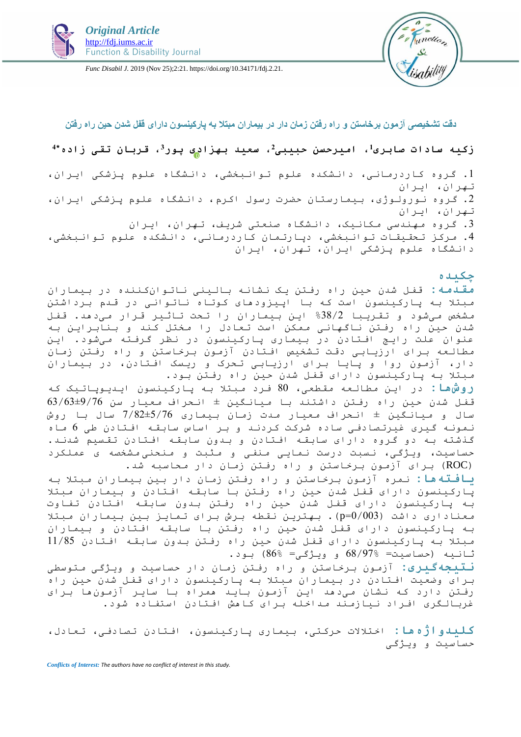

*Func Disabil J.* 2019 (Nov 25);2:21. https://doi.org/10.34171/fdj.2.21.



# **دقت تشخیصی آزمون برخاستن و راه رفتن زمان دار در بیماران مبتال به پارکینسون دارای قفل شدن حین راه رفتن**

# **زکیه سادات صابری،<sup>1</sup> امیرحسن حبیبی،<sup>2</sup> سعید بهزادی پور،<sup>3</sup> قربان تقی زاده\*<sup>4</sup>**

.1 گروه کاردرمانی، دانشکده علوم توانبخشی، دانشگاه علوم پزشکی ایران، تهران، ایران .2 گروه نورولوژی، بیمارستان حضرت رسول اکرم، دانشگاه علوم پزشکی ایران، تهران، ایران .3 گروه مهندسی مکانیک، دانشگاه صنعتی شریف، تهران، ایران .4 مرکز تحقیقات توانبخشی، دپارتمان کاردرمانی، دانشکده علوم توانبخشی، دانشگاه علوم پزشکی ایران، تهران، ایران

# **چکیده**

**مقدمه:** قفل شدن حین راه رفتن یک نشانه بالینی ناتوانکننده در بیماران مبتال به پارکینسون است که با اپیزودهای کوتاه ناتوانی در قدم برداشتن مشخص میشود و تقریبا %38/2 این بیماران را تحت تاثیر قرار میدهد. قفل شدن حین راه رفتن ناگهانی ممکن است تعادل را مختل کند و بنابراین به عنوان علت رایج افتادن در بیماری پارکینسون در نظر گرفته میشود. این مطالعه برای ارزیابی دقت تشخیص افتادن آزمون برخاستن و راه رفتن زمان دار، آزمون روا و پایا برای ارزیابی تحرک و ریسک افتادن، در بیماران مبتال به پارکینسون دارای قفل شدن حین راه رفتن بود.

**روشها:** در این مطالعه مقطعی، 80 فرد مبتال به پارکینسون ایدیوپاتیک که قفل شدن حین راه رفتن داشتند با میانگین ± انحراف معیار سن /63±9/76 63 سال و میانگین ± انحراف معیار مدت زمان بیماری 7/82±5/76 سال با روش نمونه گیری غیرتصادفی ساده شرکت کردند و بر اساس سابقه افتادن طی 6 ماه گذشته به دو گروه دارای سابقه افتادن و بدون سابقه افتادن تقسیم شدند. حساسیت، ویژگی، نسبت درست نمایی منفی و مثبت و منحنی مشخصه ی عملکرد )ROC )برای آزمون برخاستن و راه رفتن زمان دار محاسبه شد.

**یافتهها:** نمره آزمون برخاستن و راه رفتن زمان دار بین بیماران مبتال به پارکینسون دارای قفل شدن حین راه رفتن با سابقه افتادن و بیماران مبتال به پارکینسون دارای قفل شدن حین راه رفتن بدون سابقه افتادن تفاوت معناداری داشت (003/0=p). بهترین نقطه برش برای تمایز بین بیماران مبتلا به پارکینسون دارای قفل شدن حین راه رفتن با سابقه افتادن و بیماران مبتال به پارکینسون دارای قفل شدن حین راه رفتن بدون سابقه افتادن 11/85 ثانیه )حساسیت= 68/97% و ویژگی= 86%( بود.

**نتیجهگیری:** آزمون برخاستن و راه رفتن زمان دار حساسیت و ویژگی متوسطی برای وضعیت افتادن در بیماران مبتال به پارکینسون دارای قفل شدن حین راه رفتن دارد که نشان میدهد این آزمون باید همراه با سایر آزمونها برای غربالگری افراد نیازمند مداخله برای کاهش افتادن استفاده شود.

**کلیدواژهها:** اختالالت حرکتی، بیماری پارکینسون، افتادن تصادفی، تعادل، حساسیت و ویژگی

*Conflicts of Interest: The authors have no conflict of interest in this study.*